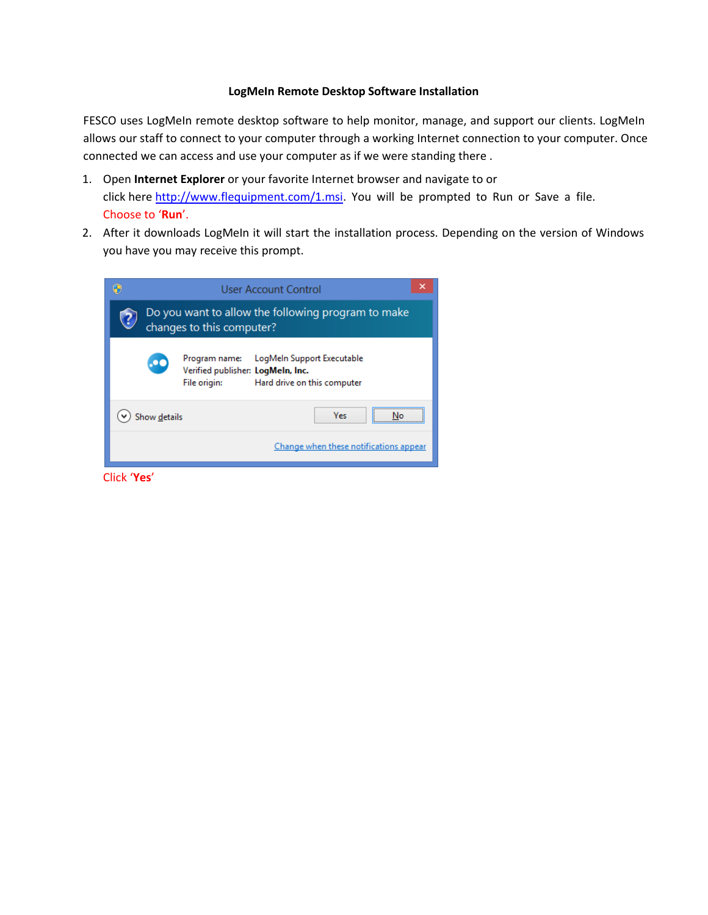## **LogMeIn Remote Desktop Software Installation**

FESCO uses LogMeIn remote desktop software to help monitor, manage, and support our clients. LogMeIn allows our staff to connect to your computer through a working Internet connection to your computer. Once connected we can access and use your computer as if we were standing there .

- 1. Open **Internet Explorer** or your favorite Internet browser and navigate to or click here http://www.flequipment.com/1.msi. You will be prompted to Run or Save a file. Choose to '**Run**'.
- 2. After it downloads LogMeIn it will start the installation process. Depending on the version of Windows [you have you may receive this prompt.](http://www.flequipment.com/1.msi)

|                                                                                 | User Account Control                                                                                                            | ×             |
|---------------------------------------------------------------------------------|---------------------------------------------------------------------------------------------------------------------------------|---------------|
| Do you want to allow the following program to make<br>changes to this computer? |                                                                                                                                 |               |
| $\boldsymbol{\alpha}$                                                           | LogMeln Support Executable<br>Program name:<br>Verified publisher: LogMeIn, Inc.<br>File origin:<br>Hard drive on this computer |               |
| Show details                                                                    |                                                                                                                                 | <br>Yes<br>Nη |
| Change when these notifications appear                                          |                                                                                                                                 |               |

Click '**Yes**'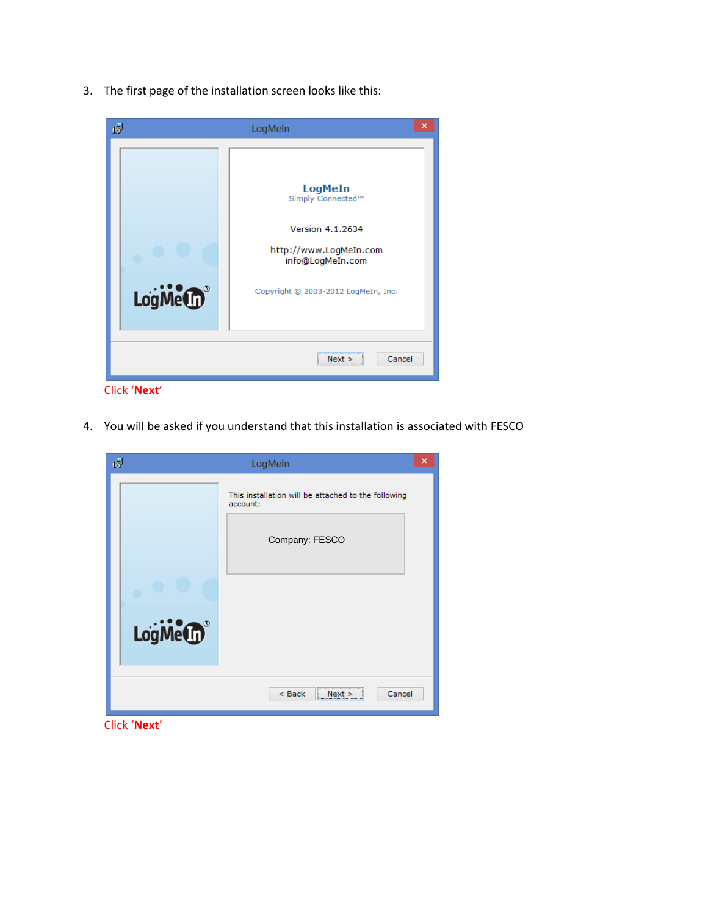3. The first page of the installation screen looks like this:



Click '**Next**'

4. You will be asked if you understand that this installation is associated with FESCO

| ×                                                   |
|-----------------------------------------------------|
| This installation will be attached to the following |
|                                                     |
|                                                     |
|                                                     |
| Cancel                                              |
|                                                     |

Click '**Next**'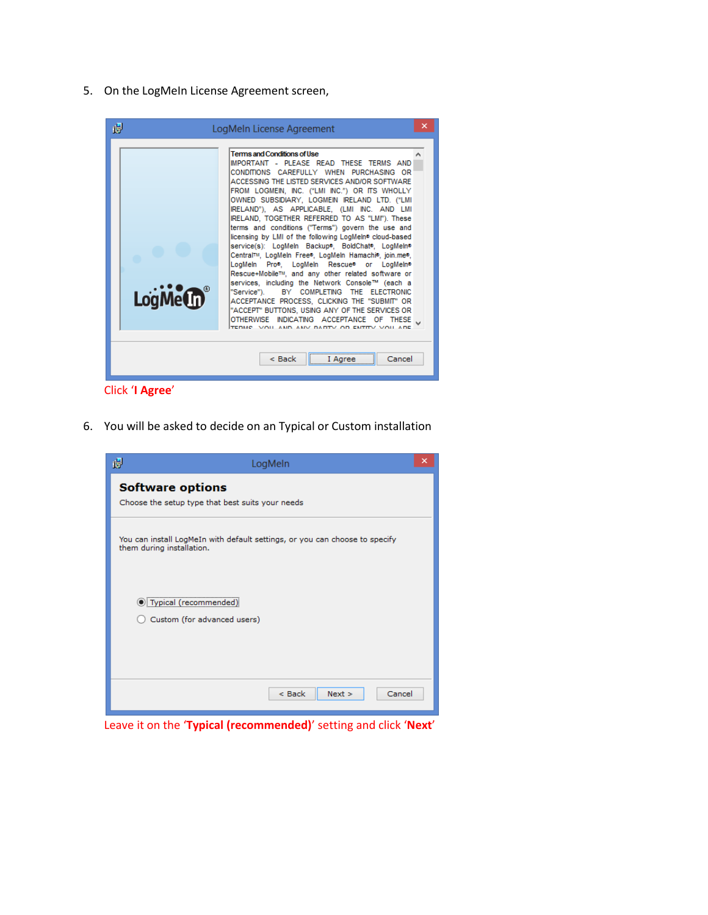5. On the LogMeIn License Agreement screen,



Click '**I Agree**'

6. You will be asked to decide on an Typical or Custom installation

| 谩                                                                                                        | LogMeln                                                | × |
|----------------------------------------------------------------------------------------------------------|--------------------------------------------------------|---|
| <b>Software options</b><br>Choose the setup type that best suits your needs                              |                                                        |   |
| You can install LogMeIn with default settings, or you can choose to specify<br>them during installation. |                                                        |   |
|                                                                                                          | ◉ Typical (recommended)<br>Custom (for advanced users) |   |
|                                                                                                          | $<$ Back<br>$Next$ ><br>Cancel                         |   |

Leave it on the '**Typical (recommended)**' setting and click '**Next**'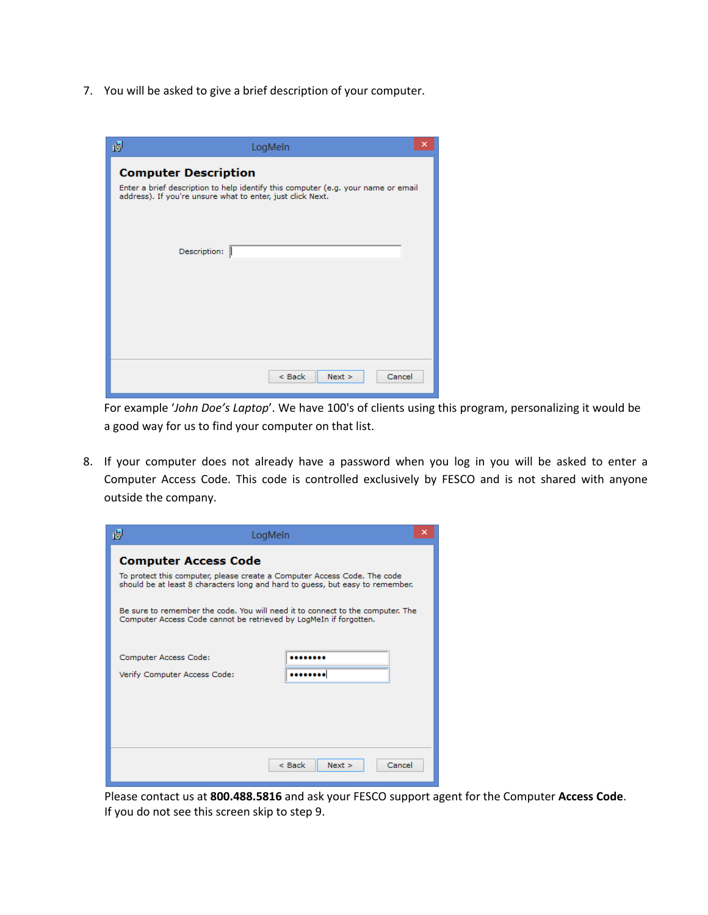7. You will be asked to give a brief description of your computer.

| 慢                                                                                                                                                                              | ×<br>LogMeln               |
|--------------------------------------------------------------------------------------------------------------------------------------------------------------------------------|----------------------------|
| <b>Computer Description</b><br>Enter a brief description to help identify this computer (e.g. your name or email<br>address). If you're unsure what to enter, just click Next. |                            |
|                                                                                                                                                                                | Description:               |
|                                                                                                                                                                                |                            |
|                                                                                                                                                                                | Next<br>$<$ Back<br>Cancel |

For example '*John Doe's Laptop*'. We have 100's of clients using this program, personalizing it would be a good way for us to find your computer on that list.

8. If your computer does not already have a password when you log in you will be asked to enter a Computer Access Code. This code is controlled exclusively by FESCO and is not shared with anyone outside the company.

| 谩<br>LogMeln                                                                                                                                                                                                                         |                              | × |
|--------------------------------------------------------------------------------------------------------------------------------------------------------------------------------------------------------------------------------------|------------------------------|---|
| <b>Computer Access Code</b><br>To protect this computer, please create a Computer Access Code. The code                                                                                                                              |                              |   |
| should be at least 8 characters long and hard to quess, but easy to remember.<br>Be sure to remember the code. You will need it to connect to the computer. The<br>Computer Access Code cannot be retrieved by LogMeIn if forgotten. |                              |   |
| Computer Access Code:                                                                                                                                                                                                                |                              |   |
| Verify Computer Access Code:                                                                                                                                                                                                         |                              |   |
|                                                                                                                                                                                                                                      |                              |   |
|                                                                                                                                                                                                                                      | Cancel<br>< Back<br>$Next$ > |   |

Please contact us at **800.488.5816** and ask your FESCO support agent for the Computer **Access Code**. If you do not see this screen skip to step 9.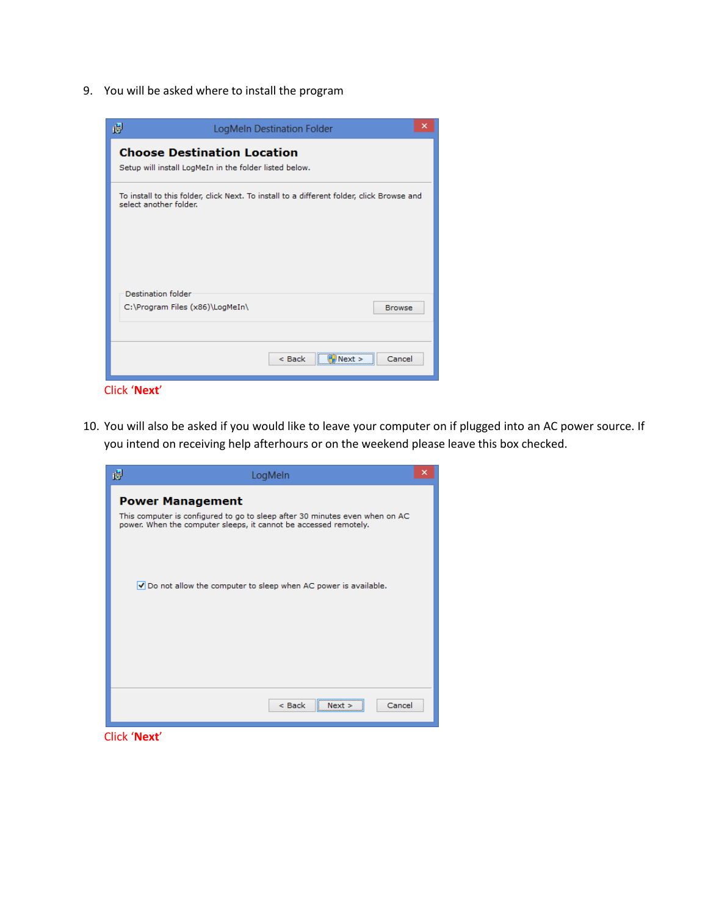9. You will be asked where to install the program



10. You will also be asked if you would like to leave your computer on if plugged into an AC power source. If you intend on receiving help afterhours or on the weekend please leave this box checked.



Click '**Next**'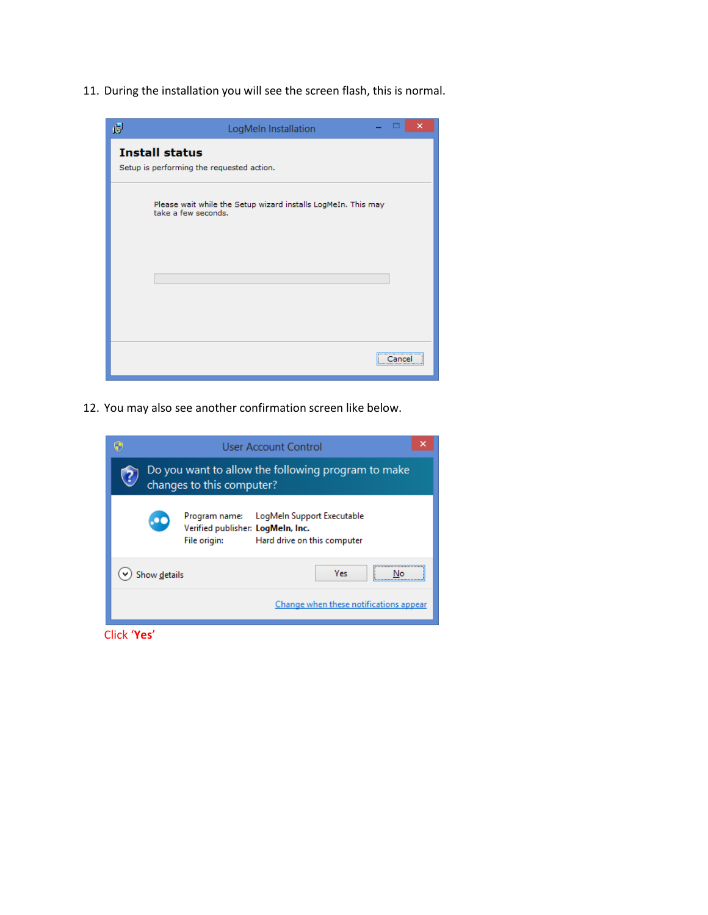11. During the installation you will see the screen flash, this is normal.



12. You may also see another confirmation screen like below.

|                                                                                 | User Account Control                                                                                                      |  |
|---------------------------------------------------------------------------------|---------------------------------------------------------------------------------------------------------------------------|--|
| Do you want to allow the following program to make<br>changes to this computer? |                                                                                                                           |  |
|                                                                                 | Program name: LogMeln Support Executable<br>Verified publisher: LogMeIn, Inc.<br>File origin: Hard drive on this computer |  |
| <b>Yes</b><br>Show details                                                      |                                                                                                                           |  |
|                                                                                 | Change when these notifications appear                                                                                    |  |

Click '**Yes**'